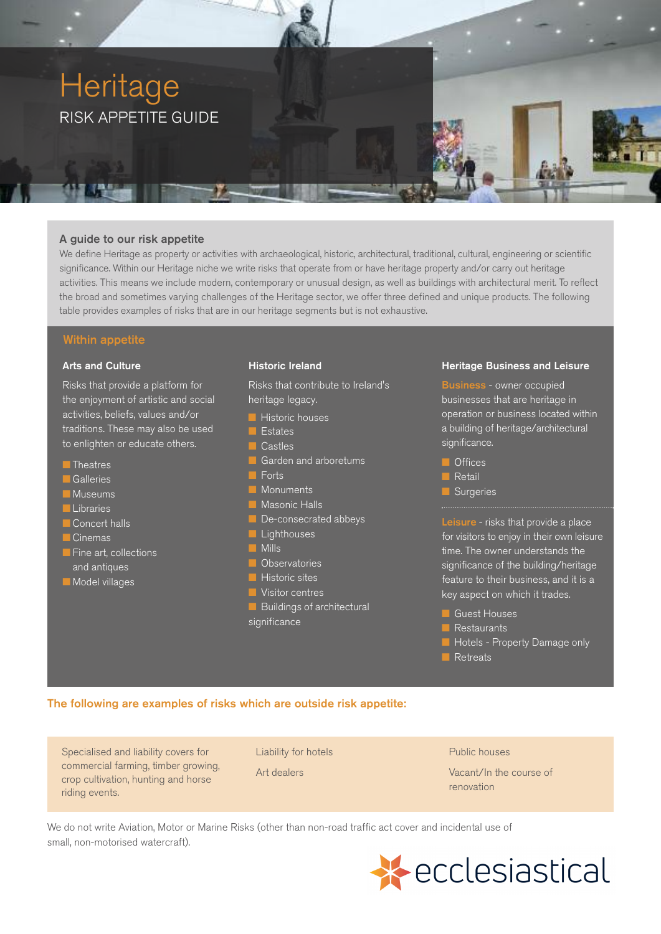

### A guide to our risk appetite

We define Heritage as property or activities with archaeological, historic, architectural, traditional, cultural, engineering or scientific significance. Within our Heritage niche we write risks that operate from or have heritage property and/or carry out heritage activities. This means we include modern, contemporary or unusual design, as well as buildings with architectural merit. To reflect the broad and sometimes varying challenges of the Heritage sector, we offer three defined and unique products. The following table provides examples of risks that are in our heritage segments but is not exhaustive.

## Within appetite

#### Arts and Culture

Risks that provide a platform for the enjoyment of artistic and social activities, beliefs, values and/or traditions. These may also be used to enlighten or educate others.

- **n** Theatres
- **Galleries**
- **n** Museums
- **n** Libraries
- **Concert halls**
- **n** Cinemas
- **n** Fine art, collections and antiques
- **n** Model villages

### Historic Ireland

Risks that contribute to Ireland's heritage legacy.

- **Historic houses**
- **n** Estates
- $\blacksquare$  Castles
	- Garden and arboretums
- $\blacksquare$  Forts
- **n** Monuments
- **Masonic Halls**
- De-consecrated abbeys
- **Lighthouses**
- **Nills**
- **n** Observatories
- $\blacksquare$  Historic sites
- **N** Visitor centres
- $\blacksquare$  Buildings of architectural significance

### Heritage Business and Leisure

Business - owner occupied businesses that are heritage in operation or business located within a building of heritage/architectural significance.

- **n** Offices
- **n** Retail
- Surgeries

Leisure - risks that provide a place for visitors to enjoy in their own leisure time. The owner understands the significance of the building/heritage feature to their business, and it is a key aspect on which it trades.

- **n** Guest Houses
- **Restaurants**
- **n** Hotels Property Damage only
- **n** Retreats

### The following are examples of risks which are outside risk appetite:

Specialised and liability covers for commercial farming, timber growing, crop cultivation, hunting and horse riding events.

Liability for hotels

Art dealers

Public houses

Vacant/In the course of renovation

We do not write Aviation, Motor or Marine Risks (other than non-road traffic act cover and incidental use of small, non-motorised watercraft).